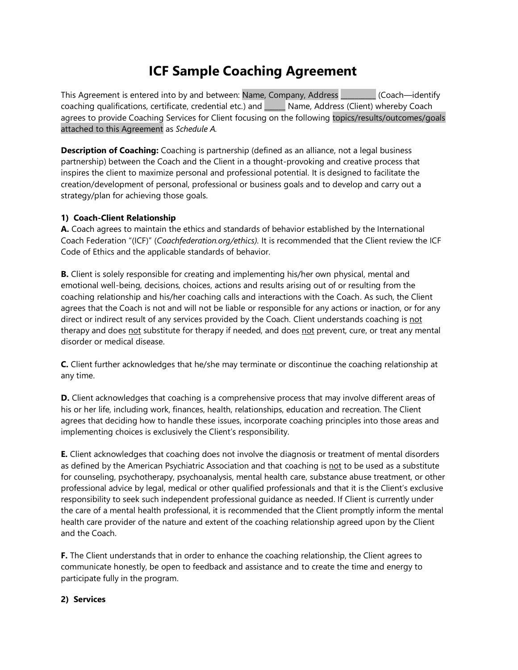# **ICF Sample Coaching Agreement**

This Agreement is entered into by and between: Name, Company, Address \_\_\_\_\_\_\_\_\_\_ (Coach—identify coaching qualifications, certificate, credential etc.) and \_\_\_\_\_\_ Name, Address (Client) whereby Coach agrees to provide Coaching Services for Client focusing on the following topics/results/outcomes/goals attached to this Agreement as *Schedule A.*

**Description of Coaching:** Coaching is partnership (defined as an alliance, not a legal business partnership) between the Coach and the Client in a thought-provoking and creative process that inspires the client to maximize personal and professional potential. It is designed to facilitate the creation/development of personal, professional or business goals and to develop and carry out a strategy/plan for achieving those goals.

## **1) Coach-Client Relationship**

**A.** Coach agrees to maintain the ethics and standards of behavior established by the International Coach Federation "(ICF)" (*Coachfederation.org/ethics).* It is recommended that the Client review the ICF Code of Ethics and the applicable standards of behavior.

**B.** Client is solely responsible for creating and implementing his/her own physical, mental and emotional well-being, decisions, choices, actions and results arising out of or resulting from the coaching relationship and his/her coaching calls and interactions with the Coach. As such, the Client agrees that the Coach is not and will not be liable or responsible for any actions or inaction, or for any direct or indirect result of any services provided by the Coach. Client understands coaching is not therapy and does not substitute for therapy if needed, and does not prevent, cure, or treat any mental disorder or medical disease.

**C.** Client further acknowledges that he/she may terminate or discontinue the coaching relationship at any time.

**D.** Client acknowledges that coaching is a comprehensive process that may involve different areas of his or her life, including work, finances, health, relationships, education and recreation. The Client agrees that deciding how to handle these issues, incorporate coaching principles into those areas and implementing choices is exclusively the Client's responsibility.

**E.** Client acknowledges that coaching does not involve the diagnosis or treatment of mental disorders as defined by the American Psychiatric Association and that coaching is not to be used as a substitute for counseling, psychotherapy, psychoanalysis, mental health care, substance abuse treatment, or other professional advice by legal, medical or other qualified professionals and that it is the Client's exclusive responsibility to seek such independent professional guidance as needed. If Client is currently under the care of a mental health professional, it is recommended that the Client promptly inform the mental health care provider of the nature and extent of the coaching relationship agreed upon by the Client and the Coach.

**F.** The Client understands that in order to enhance the coaching relationship, the Client agrees to communicate honestly, be open to feedback and assistance and to create the time and energy to participate fully in the program.

#### **2) Services**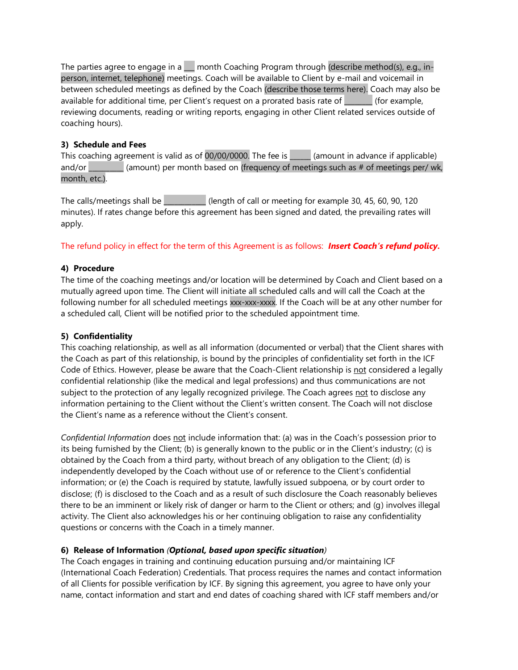The parties agree to engage in a  $\Box$  month Coaching Program through (describe method(s), e.g., inperson, internet, telephone) meetings. Coach will be available to Client by e-mail and voicemail in between scheduled meetings as defined by the Coach (describe those terms here). Coach may also be available for additional time, per Client's request on a prorated basis rate of \_\_\_\_\_\_\_\_ (for example, reviewing documents, reading or writing reports, engaging in other Client related services outside of coaching hours).

## **3) Schedule and Fees**

This coaching agreement is valid as of  $00/00/0000$ . The fee is  $\Box$  (amount in advance if applicable) and/or \_\_\_\_\_\_\_\_\_\_ (amount) per month based on (frequency of meetings such as # of meetings per/ wk, month, etc.).

The calls/meetings shall be  $\qquad$  (length of call or meeting for example 30, 45, 60, 90, 120 minutes). If rates change before this agreement has been signed and dated, the prevailing rates will apply.

The refund policy in effect for the term of this Agreement is as follows: *Insert Coach's refund policy.*

## **4) Procedure**

The time of the coaching meetings and/or location will be determined by Coach and Client based on a mutually agreed upon time. The Client will initiate all scheduled calls and will call the Coach at the following number for all scheduled meetings xxx-xxx-xxxx. If the Coach will be at any other number for a scheduled call, Client will be notified prior to the scheduled appointment time.

## **5) Confidentiality**

This coaching relationship, as well as all information (documented or verbal) that the Client shares with the Coach as part of this relationship, is bound by the principles of confidentiality set forth in the ICF Code of Ethics. However, please be aware that the Coach-Client relationship is not considered a legally confidential relationship (like the medical and legal professions) and thus communications are not subject to the protection of any legally recognized privilege. The Coach agrees not to disclose any information pertaining to the Client without the Client's written consent. The Coach will not disclose the Client's name as a reference without the Client's consent.

*Confidential Information* does not include information that: (a) was in the Coach's possession prior to its being furnished by the Client; (b) is generally known to the public or in the Client's industry; (c) is obtained by the Coach from a third party, without breach of any obligation to the Client; (d) is independently developed by the Coach without use of or reference to the Client's confidential information; or (e) the Coach is required by statute, lawfully issued subpoena, or by court order to disclose; (f) is disclosed to the Coach and as a result of such disclosure the Coach reasonably believes there to be an imminent or likely risk of danger or harm to the Client or others; and (g) involves illegal activity. The Client also acknowledges his or her continuing obligation to raise any confidentiality questions or concerns with the Coach in a timely manner.

## **6) Release of Information** *(Optional, based upon specific situation)*

The Coach engages in training and continuing education pursuing and/or maintaining ICF (International Coach Federation) Credentials. That process requires the names and contact information of all Clients for possible verification by ICF. By signing this agreement, you agree to have only your name, contact information and start and end dates of coaching shared with ICF staff members and/or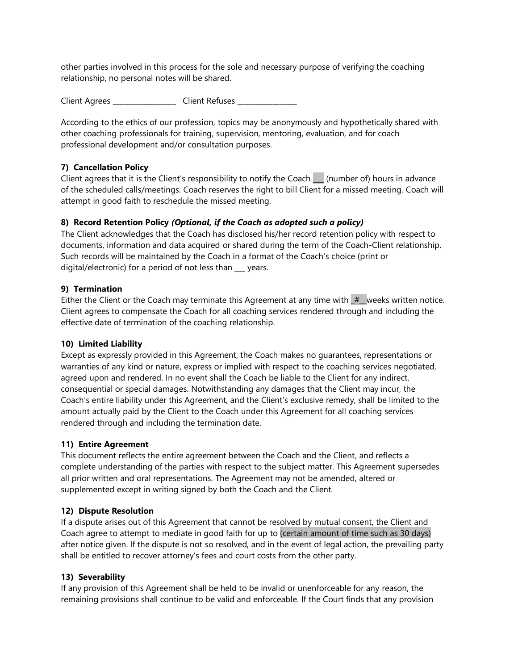other parties involved in this process for the sole and necessary purpose of verifying the coaching relationship, no personal notes will be shared.

Client Agrees \_\_\_\_\_\_\_\_\_\_\_\_\_\_\_\_\_\_\_ Client Refuses \_\_\_\_\_\_\_\_\_\_\_\_\_\_\_

According to the ethics of our profession, topics may be anonymously and hypothetically shared with other coaching professionals for training, supervision, mentoring, evaluation, and for coach professional development and/or consultation purposes.

## **7) Cancellation Policy**

Client agrees that it is the Client's responsibility to notify the Coach | (number of) hours in advance of the scheduled calls/meetings. Coach reserves the right to bill Client for a missed meeting. Coach will attempt in good faith to reschedule the missed meeting.

## **8) Record Retention Policy** *(Optional, if the Coach as adopted such a policy)*

The Client acknowledges that the Coach has disclosed his/her record retention policy with respect to documents, information and data acquired or shared during the term of the Coach-Client relationship. Such records will be maintained by the Coach in a format of the Coach's choice (print or digital/electronic) for a period of not less than years.

## **9) Termination**

Either the Client or the Coach may terminate this Agreement at any time with  $#$  weeks written notice. Client agrees to compensate the Coach for all coaching services rendered through and including the effective date of termination of the coaching relationship.

#### **10) Limited Liability**

Except as expressly provided in this Agreement, the Coach makes no guarantees, representations or warranties of any kind or nature, express or implied with respect to the coaching services negotiated, agreed upon and rendered. In no event shall the Coach be liable to the Client for any indirect, consequential or special damages. Notwithstanding any damages that the Client may incur, the Coach's entire liability under this Agreement, and the Client's exclusive remedy, shall be limited to the amount actually paid by the Client to the Coach under this Agreement for all coaching services rendered through and including the termination date.

#### **11) Entire Agreement**

This document reflects the entire agreement between the Coach and the Client, and reflects a complete understanding of the parties with respect to the subject matter. This Agreement supersedes all prior written and oral representations. The Agreement may not be amended, altered or supplemented except in writing signed by both the Coach and the Client.

#### **12) Dispute Resolution**

If a dispute arises out of this Agreement that cannot be resolved by mutual consent, the Client and Coach agree to attempt to mediate in good faith for up to (certain amount of time such as 30 days) after notice given. If the dispute is not so resolved, and in the event of legal action, the prevailing party shall be entitled to recover attorney's fees and court costs from the other party.

## **13) Severability**

If any provision of this Agreement shall be held to be invalid or unenforceable for any reason, the remaining provisions shall continue to be valid and enforceable. If the Court finds that any provision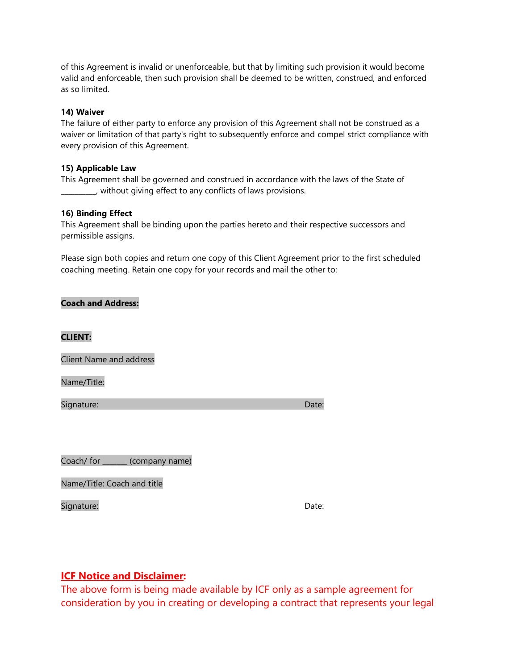of this Agreement is invalid or unenforceable, but that by limiting such provision it would become valid and enforceable, then such provision shall be deemed to be written, construed, and enforced as so limited.

#### **14) Waiver**

The failure of either party to enforce any provision of this Agreement shall not be construed as a waiver or limitation of that party's right to subsequently enforce and compel strict compliance with every provision of this Agreement.

#### **15) Applicable Law**

This Agreement shall be governed and construed in accordance with the laws of the State of \_\_\_\_\_\_\_\_\_\_, without giving effect to any conflicts of laws provisions.

#### **16) Binding Effect**

This Agreement shall be binding upon the parties hereto and their respective successors and permissible assigns.

Please sign both copies and return one copy of this Client Agreement prior to the first scheduled coaching meeting. Retain one copy for your records and mail the other to:

#### **Coach and Address:**

## **CLIENT:**

Client Name and address

Name/Title:

Signature: Date: Date: Date: Date: Date: Date: Date: Date: Date: Date: Date: Date: Date: Date: Date: Date: Date: Date: Date: Date: Date: Date: Date: Date: Date: Date: Date: Date: Date: Date: Date: Date: Date: Date: Date: D

Coach/ for \_\_\_\_\_\_\_ (company name)

Name/Title: Coach and title

Signature: Date: Date: Date: Date: Date: Date: Date: Date: Date: Date: Date: Date: Date: Date: Date: Date: Date: Date: Date: Date: Date: Date: Date: Date: Date: Date: Date: Date: Date: Date: Date: Date: Date: Date: Date: D

## **ICF Notice and Disclaimer:**

The above form is being made available by ICF only as a sample agreement for consideration by you in creating or developing a contract that represents your legal